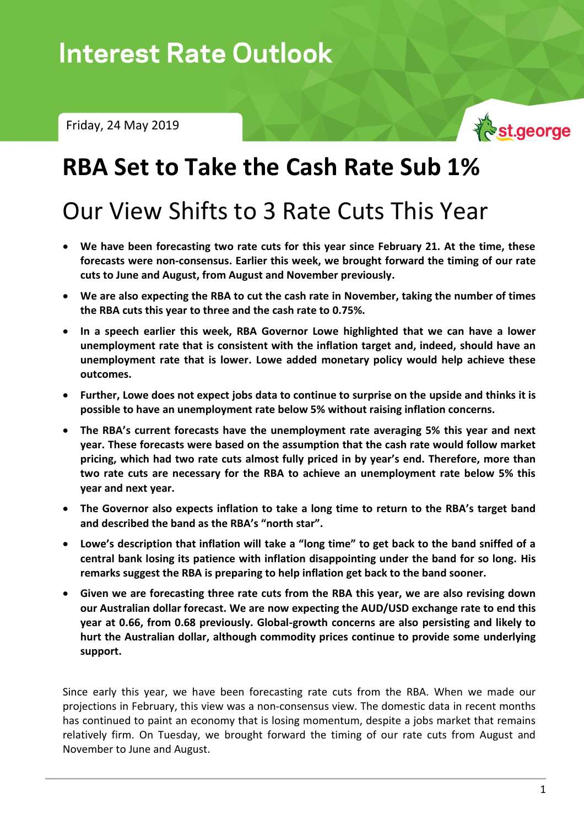Friday, 24 May 2019



# **RBA Set to Take the Cash Rate Sub 1%**

# Our View Shifts to 3 Rate Cuts This Year

- **We have been forecasting two rate cuts for this year since February 21. At the time, these forecasts were non-consensus. Earlier this week, we brought forward the timing of our rate cuts to June and August, from August and November previously.**
- **We are also expecting the RBA to cut the cash rate in November, taking the number of times the RBA cuts this year to three and the cash rate to 0.75%.**
- **In a speech earlier this week, RBA Governor Lowe highlighted that we can have a lower unemployment rate that is consistent with the inflation target and, indeed, should have an unemployment rate that is lower. Lowe added monetary policy would help achieve these outcomes.**
- **Further, Lowe does not expect jobs data to continue to surprise on the upside and thinks it is possible to have an unemployment rate below 5% without raising inflation concerns.**
- **The RBA's current forecasts have the unemployment rate averaging 5% this year and next year. These forecasts were based on the assumption that the cash rate would follow market pricing, which had two rate cuts almost fully priced in by year's end. Therefore, more than two rate cuts are necessary for the RBA to achieve an unemployment rate below 5% this year and next year.**
- **The Governor also expects inflation to take a long time to return to the RBA's target band and described the band as the RBA's "north star".**
- **Lowe's description that inflation will take a "long time" to get back to the band sniffed of a central bank losing its patience with inflation disappointing under the band for so long. His remarks suggest the RBA is preparing to help inflation get back to the band sooner.**
- **Given we are forecasting three rate cuts from the RBA this year, we are also revising down our Australian dollar forecast. We are now expecting the AUD/USD exchange rate to end this year at 0.66, from 0.68 previously. Global-growth concerns are also persisting and likely to hurt the Australian dollar, although commodity prices continue to provide some underlying support.**

Since early this year, we have been forecasting rate cuts from the RBA. When we made our projections in February, this view was a non-consensus view. The domestic data in recent months has continued to paint an economy that is losing momentum, despite a jobs market that remains relatively firm. On Tuesday, we brought forward the timing of our rate cuts from August and November to June and August.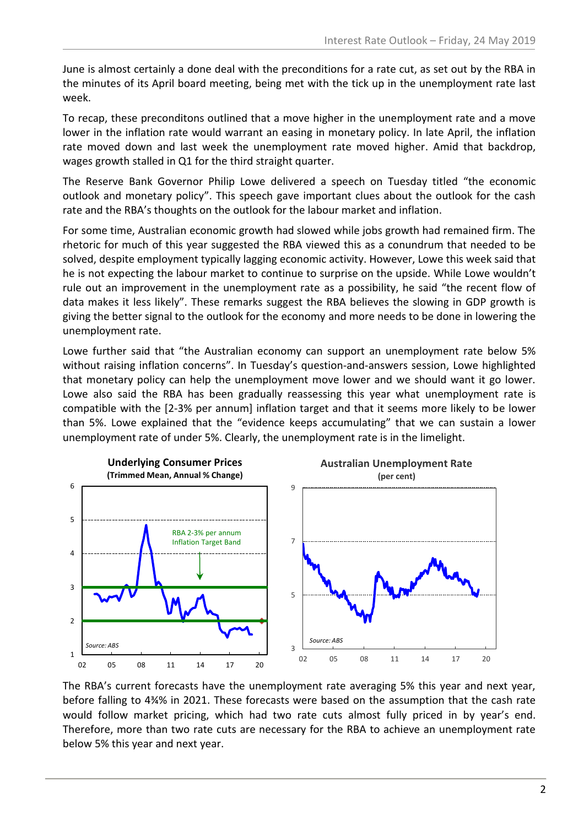June is almost certainly a done deal with the preconditions for a rate cut, as set out by the RBA in the minutes of its April board meeting, being met with the tick up in the unemployment rate last week.

To recap, these preconditons outlined that a move higher in the unemployment rate and a move lower in the inflation rate would warrant an easing in monetary policy. In late April, the inflation rate moved down and last week the unemployment rate moved higher. Amid that backdrop, wages growth stalled in Q1 for the third straight quarter.

The Reserve Bank Governor Philip Lowe delivered a speech on Tuesday titled "the economic outlook and monetary policy". This speech gave important clues about the outlook for the cash rate and the RBA's thoughts on the outlook for the labour market and inflation.

For some time, Australian economic growth had slowed while jobs growth had remained firm. The rhetoric for much of this year suggested the RBA viewed this as a conundrum that needed to be solved, despite employment typically lagging economic activity. However, Lowe this week said that he is not expecting the labour market to continue to surprise on the upside. While Lowe wouldn't rule out an improvement in the unemployment rate as a possibility, he said "the recent flow of data makes it less likely". These remarks suggest the RBA believes the slowing in GDP growth is giving the better signal to the outlook for the economy and more needs to be done in lowering the unemployment rate.

Lowe further said that "the Australian economy can support an unemployment rate below 5% without raising inflation concerns". In Tuesday's question-and-answers session, Lowe highlighted that monetary policy can help the unemployment move lower and we should want it go lower. Lowe also said the RBA has been gradually reassessing this year what unemployment rate is compatible with the [2-3% per annum] inflation target and that it seems more likely to be lower than 5%. Lowe explained that the "evidence keeps accumulating" that we can sustain a lower unemployment rate of under 5%. Clearly, the unemployment rate is in the limelight.



The RBA's current forecasts have the unemployment rate averaging 5% this year and next year, before falling to 4¾% in 2021. These forecasts were based on the assumption that the cash rate would follow market pricing, which had two rate cuts almost fully priced in by year's end. Therefore, more than two rate cuts are necessary for the RBA to achieve an unemployment rate below 5% this year and next year.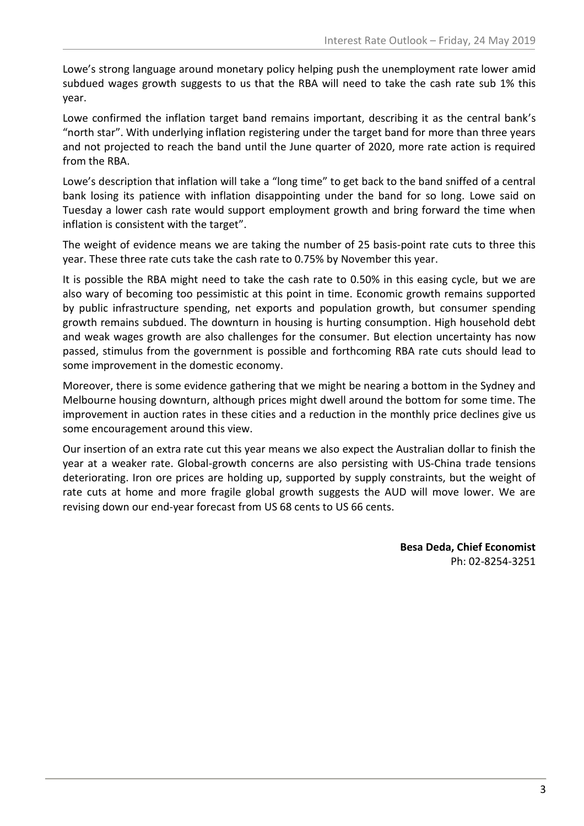Lowe's strong language around monetary policy helping push the unemployment rate lower amid subdued wages growth suggests to us that the RBA will need to take the cash rate sub 1% this year.

Lowe confirmed the inflation target band remains important, describing it as the central bank's "north star". With underlying inflation registering under the target band for more than three years and not projected to reach the band until the June quarter of 2020, more rate action is required from the RBA.

Lowe's description that inflation will take a "long time" to get back to the band sniffed of a central bank losing its patience with inflation disappointing under the band for so long. Lowe said on Tuesday a lower cash rate would support employment growth and bring forward the time when inflation is consistent with the target".

The weight of evidence means we are taking the number of 25 basis-point rate cuts to three this year. These three rate cuts take the cash rate to 0.75% by November this year.

It is possible the RBA might need to take the cash rate to 0.50% in this easing cycle, but we are also wary of becoming too pessimistic at this point in time. Economic growth remains supported by public infrastructure spending, net exports and population growth, but consumer spending growth remains subdued. The downturn in housing is hurting consumption. High household debt and weak wages growth are also challenges for the consumer. But election uncertainty has now passed, stimulus from the government is possible and forthcoming RBA rate cuts should lead to some improvement in the domestic economy.

Moreover, there is some evidence gathering that we might be nearing a bottom in the Sydney and Melbourne housing downturn, although prices might dwell around the bottom for some time. The improvement in auction rates in these cities and a reduction in the monthly price declines give us some encouragement around this view.

Our insertion of an extra rate cut this year means we also expect the Australian dollar to finish the year at a weaker rate. Global-growth concerns are also persisting with US-China trade tensions deteriorating. Iron ore prices are holding up, supported by supply constraints, but the weight of rate cuts at home and more fragile global growth suggests the AUD will move lower. We are revising down our end-year forecast from US 68 cents to US 66 cents.

> **Besa Deda, Chief Economist** Ph: 02-8254-3251